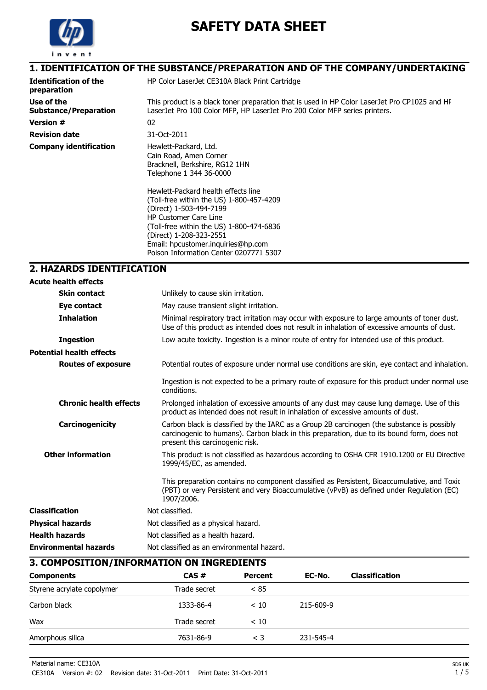

# **SAFETY DATA SHEET**

## **1. IDENTIFICATION OF THE SUBSTANCE/PREPARATION AND OF THE COMPANY/UNDERTAKING**

| <b>Identification of the</b><br>preparation | HP Color LaserJet CE310A Black Print Cartridge                                                                                                                                                                                                                                                                                                                                                                    |
|---------------------------------------------|-------------------------------------------------------------------------------------------------------------------------------------------------------------------------------------------------------------------------------------------------------------------------------------------------------------------------------------------------------------------------------------------------------------------|
| Use of the<br><b>Substance/Preparation</b>  | This product is a black toner preparation that is used in HP Color LaserJet Pro CP1025 and HF<br>LaserJet Pro 100 Color MFP, HP LaserJet Pro 200 Color MFP series printers.                                                                                                                                                                                                                                       |
| <b>Version #</b>                            | 02                                                                                                                                                                                                                                                                                                                                                                                                                |
| <b>Revision date</b>                        | 31-Oct-2011                                                                                                                                                                                                                                                                                                                                                                                                       |
| <b>Company identification</b>               | Hewlett-Packard, Ltd.<br>Cain Road, Amen Corner<br>Bracknell, Berkshire, RG12 1HN<br>Telephone 1 344 36-0000<br>Hewlett-Packard health effects line<br>(Toll-free within the US) 1-800-457-4209<br>(Direct) 1-503-494-7199<br><b>HP Customer Care Line</b><br>(Toll-free within the US) 1-800-474-6836<br>(Direct) 1-208-323-2551<br>Email: hpcustomer.inquiries@hp.com<br>Poison Information Center 0207771 5307 |

## **2. HAZARDS IDENTIFICATION**

| <b>Acute health effects</b>     |                                                                                                                                                                                                                             |
|---------------------------------|-----------------------------------------------------------------------------------------------------------------------------------------------------------------------------------------------------------------------------|
| <b>Skin contact</b>             | Unlikely to cause skin irritation.                                                                                                                                                                                          |
| Eye contact                     | May cause transient slight irritation.                                                                                                                                                                                      |
| <b>Inhalation</b>               | Minimal respiratory tract irritation may occur with exposure to large amounts of toner dust.<br>Use of this product as intended does not result in inhalation of excessive amounts of dust.                                 |
| <b>Ingestion</b>                | Low acute toxicity. Ingestion is a minor route of entry for intended use of this product.                                                                                                                                   |
| <b>Potential health effects</b> |                                                                                                                                                                                                                             |
| <b>Routes of exposure</b>       | Potential routes of exposure under normal use conditions are skin, eye contact and inhalation.                                                                                                                              |
|                                 | Ingestion is not expected to be a primary route of exposure for this product under normal use<br>conditions.                                                                                                                |
| <b>Chronic health effects</b>   | Prolonged inhalation of excessive amounts of any dust may cause lung damage. Use of this<br>product as intended does not result in inhalation of excessive amounts of dust.                                                 |
| Carcinogenicity                 | Carbon black is classified by the IARC as a Group 2B carcinogen (the substance is possibly<br>carcinogenic to humans). Carbon black in this preparation, due to its bound form, does not<br>present this carcinogenic risk. |
| <b>Other information</b>        | This product is not classified as hazardous according to OSHA CFR 1910.1200 or EU Directive<br>1999/45/EC, as amended.                                                                                                      |
|                                 | This preparation contains no component classified as Persistent, Bioaccumulative, and Toxic<br>(PBT) or very Persistent and very Bioaccumulative (vPvB) as defined under Regulation (EC)<br>1907/2006.                      |
| <b>Classification</b>           | Not classified.                                                                                                                                                                                                             |
| <b>Physical hazards</b>         | Not classified as a physical hazard.                                                                                                                                                                                        |
| <b>Health hazards</b>           | Not classified as a health hazard.                                                                                                                                                                                          |
| <b>Environmental hazards</b>    | Not classified as an environmental hazard.                                                                                                                                                                                  |

### **3. COMPOSITION/INFORMATION ON INGREDIENTS**

| <b>Components</b>          | CAS#         | Percent  | EC-No.    | <b>Classification</b> |  |
|----------------------------|--------------|----------|-----------|-----------------------|--|
| Styrene acrylate copolymer | Trade secret | < 85     |           |                       |  |
| Carbon black               | 1333-86-4    | < 10     | 215-609-9 |                       |  |
| Wax                        | Trade secret | < 10     |           |                       |  |
| Amorphous silica           | 7631-86-9    | $\leq 3$ | 231-545-4 |                       |  |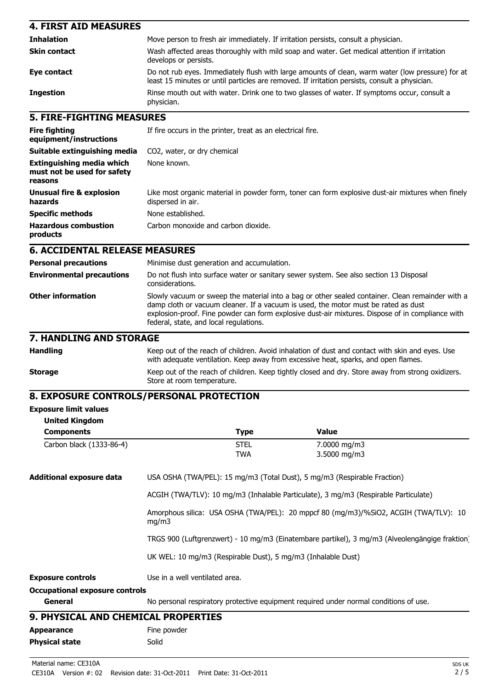| <b>4. FIRST AID MEASURES</b>                                               |                                                                                                                                                                                                                                                                                                                                      |  |                                                                                                                                                                                                   |
|----------------------------------------------------------------------------|--------------------------------------------------------------------------------------------------------------------------------------------------------------------------------------------------------------------------------------------------------------------------------------------------------------------------------------|--|---------------------------------------------------------------------------------------------------------------------------------------------------------------------------------------------------|
| <b>Inhalation</b>                                                          | Move person to fresh air immediately. If irritation persists, consult a physician.                                                                                                                                                                                                                                                   |  |                                                                                                                                                                                                   |
| <b>Skin contact</b>                                                        | Wash affected areas thoroughly with mild soap and water. Get medical attention if irritation<br>develops or persists.                                                                                                                                                                                                                |  |                                                                                                                                                                                                   |
| Eye contact                                                                |                                                                                                                                                                                                                                                                                                                                      |  | Do not rub eyes. Immediately flush with large amounts of clean, warm water (low pressure) for at<br>least 15 minutes or until particles are removed. If irritation persists, consult a physician. |
| <b>Ingestion</b>                                                           | physician.                                                                                                                                                                                                                                                                                                                           |  | Rinse mouth out with water. Drink one to two glasses of water. If symptoms occur, consult a                                                                                                       |
| <b>5. FIRE-FIGHTING MEASURES</b>                                           |                                                                                                                                                                                                                                                                                                                                      |  |                                                                                                                                                                                                   |
| <b>Fire fighting</b><br>equipment/instructions                             | If fire occurs in the printer, treat as an electrical fire.                                                                                                                                                                                                                                                                          |  |                                                                                                                                                                                                   |
| Suitable extinguishing media                                               | CO2, water, or dry chemical                                                                                                                                                                                                                                                                                                          |  |                                                                                                                                                                                                   |
| <b>Extinguishing media which</b><br>must not be used for safety<br>reasons | None known.                                                                                                                                                                                                                                                                                                                          |  |                                                                                                                                                                                                   |
| <b>Unusual fire &amp; explosion</b><br>hazards                             | Like most organic material in powder form, toner can form explosive dust-air mixtures when finely<br>dispersed in air.                                                                                                                                                                                                               |  |                                                                                                                                                                                                   |
| <b>Specific methods</b>                                                    | None established.                                                                                                                                                                                                                                                                                                                    |  |                                                                                                                                                                                                   |
| <b>Hazardous combustion</b><br>products                                    | Carbon monoxide and carbon dioxide.                                                                                                                                                                                                                                                                                                  |  |                                                                                                                                                                                                   |
| <b>6. ACCIDENTAL RELEASE MEASURES</b>                                      |                                                                                                                                                                                                                                                                                                                                      |  |                                                                                                                                                                                                   |
| <b>Personal precautions</b>                                                | Minimise dust generation and accumulation.                                                                                                                                                                                                                                                                                           |  |                                                                                                                                                                                                   |
| <b>Environmental precautions</b>                                           | Do not flush into surface water or sanitary sewer system. See also section 13 Disposal<br>considerations.                                                                                                                                                                                                                            |  |                                                                                                                                                                                                   |
| <b>Other information</b>                                                   | Slowly vacuum or sweep the material into a bag or other sealed container. Clean remainder with a<br>damp cloth or vacuum cleaner. If a vacuum is used, the motor must be rated as dust<br>explosion-proof. Fine powder can form explosive dust-air mixtures. Dispose of in compliance with<br>federal, state, and local regulations. |  |                                                                                                                                                                                                   |
| 7. HANDLING AND STORAGE                                                    |                                                                                                                                                                                                                                                                                                                                      |  |                                                                                                                                                                                                   |
| <b>Handling</b>                                                            | with adequate ventilation. Keep away from excessive heat, sparks, and open flames.                                                                                                                                                                                                                                                   |  | Keep out of the reach of children. Avoid inhalation of dust and contact with skin and eyes. Use                                                                                                   |
| <b>Storage</b>                                                             | Keep out of the reach of children. Keep tightly closed and dry. Store away from strong oxidizers.<br>Store at room temperature.                                                                                                                                                                                                      |  |                                                                                                                                                                                                   |
|                                                                            | 8. EXPOSURE CONTROLS/PERSONAL PROTECTION                                                                                                                                                                                                                                                                                             |  |                                                                                                                                                                                                   |
| <b>Exposure limit values</b>                                               |                                                                                                                                                                                                                                                                                                                                      |  |                                                                                                                                                                                                   |
| <b>United Kingdom</b>                                                      |                                                                                                                                                                                                                                                                                                                                      |  |                                                                                                                                                                                                   |
| <b>Components</b>                                                          | <b>Type</b>                                                                                                                                                                                                                                                                                                                          |  | <b>Value</b>                                                                                                                                                                                      |
| Carbon black (1333-86-4)                                                   | <b>STEL</b><br><b>TWA</b>                                                                                                                                                                                                                                                                                                            |  | 7.0000 mg/m3<br>3.5000 mg/m3                                                                                                                                                                      |
| <b>Additional exposure data</b>                                            | USA OSHA (TWA/PEL): 15 mg/m3 (Total Dust), 5 mg/m3 (Respirable Fraction)                                                                                                                                                                                                                                                             |  |                                                                                                                                                                                                   |
|                                                                            | ACGIH (TWA/TLV): 10 mg/m3 (Inhalable Particulate), 3 mg/m3 (Respirable Particulate)                                                                                                                                                                                                                                                  |  |                                                                                                                                                                                                   |
|                                                                            | mg/m3                                                                                                                                                                                                                                                                                                                                |  | Amorphous silica: USA OSHA (TWA/PEL): 20 mppcf 80 (mg/m3)/%SiO2, ACGIH (TWA/TLV): 10                                                                                                              |
|                                                                            |                                                                                                                                                                                                                                                                                                                                      |  | TRGS 900 (Luftgrenzwert) - 10 mg/m3 (Einatembare partikel), 3 mg/m3 (Alveolengängige fraktion)                                                                                                    |
|                                                                            | UK WEL: 10 mg/m3 (Respirable Dust), 5 mg/m3 (Inhalable Dust)                                                                                                                                                                                                                                                                         |  |                                                                                                                                                                                                   |
| <b>Exposure controls</b>                                                   | Use in a well ventilated area.                                                                                                                                                                                                                                                                                                       |  |                                                                                                                                                                                                   |
| <b>Occupational exposure controls</b>                                      |                                                                                                                                                                                                                                                                                                                                      |  |                                                                                                                                                                                                   |
| General                                                                    |                                                                                                                                                                                                                                                                                                                                      |  | No personal respiratory protective equipment required under normal conditions of use.                                                                                                             |
| 9. PHYSICAL AND CHEMICAL PROPERTIES                                        |                                                                                                                                                                                                                                                                                                                                      |  |                                                                                                                                                                                                   |
| <b>Appearance</b>                                                          | Fine powder                                                                                                                                                                                                                                                                                                                          |  |                                                                                                                                                                                                   |
| <b>Physical state</b>                                                      | Solid                                                                                                                                                                                                                                                                                                                                |  |                                                                                                                                                                                                   |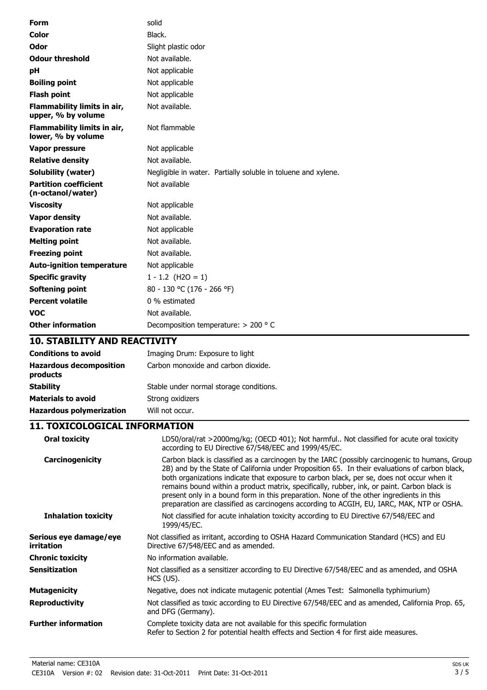| <b>Form</b>                                       | solid                                                         |
|---------------------------------------------------|---------------------------------------------------------------|
| Color                                             | Black.                                                        |
| Odor                                              | Slight plastic odor                                           |
| <b>Odour threshold</b>                            | Not available.                                                |
| рH                                                | Not applicable                                                |
| <b>Boiling point</b>                              | Not applicable                                                |
| <b>Flash point</b>                                | Not applicable                                                |
| Flammability limits in air,<br>upper, % by volume | Not available.                                                |
| Flammability limits in air,<br>lower, % by volume | Not flammable                                                 |
| Vapor pressure                                    | Not applicable                                                |
| <b>Relative density</b>                           | Not available.                                                |
| <b>Solubility (water)</b>                         | Negligible in water. Partially soluble in toluene and xylene. |
| <b>Partition coefficient</b><br>(n-octanol/water) | Not available                                                 |
| <b>Viscosity</b>                                  | Not applicable                                                |
| <b>Vapor density</b>                              | Not available.                                                |
| <b>Evaporation rate</b>                           | Not applicable                                                |
| <b>Melting point</b>                              | Not available.                                                |
| <b>Freezing point</b>                             | Not available.                                                |
| <b>Auto-ignition temperature</b>                  | Not applicable                                                |
| <b>Specific gravity</b>                           | $1 - 1.2$ (H2O = 1)                                           |
| Softening point                                   | 80 - 130 °C (176 - 266 °F)                                    |
| <b>Percent volatile</b>                           | 0 % estimated                                                 |
| <b>VOC</b>                                        | Not available.                                                |
| <b>Other information</b>                          | Decomposition temperature: > 200 ° C                          |

## **10. STABILITY AND REACTIVITY**

| <b>Conditions to avoid</b>                 | Imaging Drum: Exposure to light         |
|--------------------------------------------|-----------------------------------------|
| <b>Hazardous decomposition</b><br>products | Carbon monoxide and carbon dioxide.     |
| <b>Stability</b>                           | Stable under normal storage conditions. |
| <b>Materials to avoid</b>                  | Strong oxidizers                        |
| <b>Hazardous polymerization</b>            | Will not occur.                         |

## **11. TOXICOLOGICAL INFORMATION**

| <b>Oral toxicity</b>                 | LD50/oral/rat >2000mg/kg; (OECD 401); Not harmful Not classified for acute oral toxicity<br>according to EU Directive 67/548/EEC and 1999/45/EC.                                                                                                                                                                                                                                                                                                                                                                                                                                     |
|--------------------------------------|--------------------------------------------------------------------------------------------------------------------------------------------------------------------------------------------------------------------------------------------------------------------------------------------------------------------------------------------------------------------------------------------------------------------------------------------------------------------------------------------------------------------------------------------------------------------------------------|
| Carcinogenicity                      | Carbon black is classified as a carcinogen by the IARC (possibly carcinogenic to humans, Group<br>2B) and by the State of California under Proposition 65. In their evaluations of carbon black,<br>both organizations indicate that exposure to carbon black, per se, does not occur when it<br>remains bound within a product matrix, specifically, rubber, ink, or paint. Carbon black is<br>present only in a bound form in this preparation. None of the other ingredients in this<br>preparation are classified as carcinogens according to ACGIH, EU, IARC, MAK, NTP or OSHA. |
| <b>Inhalation toxicity</b>           | Not classified for acute inhalation toxicity according to EU Directive 67/548/EEC and<br>1999/45/EC.                                                                                                                                                                                                                                                                                                                                                                                                                                                                                 |
| Serious eye damage/eye<br>irritation | Not classified as irritant, according to OSHA Hazard Communication Standard (HCS) and EU<br>Directive 67/548/EEC and as amended.                                                                                                                                                                                                                                                                                                                                                                                                                                                     |
| Chronic toxicity                     | No information available.                                                                                                                                                                                                                                                                                                                                                                                                                                                                                                                                                            |
| Sensitization                        | Not classified as a sensitizer according to EU Directive 67/548/EEC and as amended, and OSHA<br>HCS (US).                                                                                                                                                                                                                                                                                                                                                                                                                                                                            |
| Mutagenicity                         | Negative, does not indicate mutagenic potential (Ames Test: Salmonella typhimurium)                                                                                                                                                                                                                                                                                                                                                                                                                                                                                                  |
| Reproductivity                       | Not classified as toxic according to EU Directive 67/548/EEC and as amended, California Prop. 65,<br>and DFG (Germany).                                                                                                                                                                                                                                                                                                                                                                                                                                                              |
| <b>Further information</b>           | Complete toxicity data are not available for this specific formulation<br>Refer to Section 2 for potential health effects and Section 4 for first aide measures.                                                                                                                                                                                                                                                                                                                                                                                                                     |
|                                      |                                                                                                                                                                                                                                                                                                                                                                                                                                                                                                                                                                                      |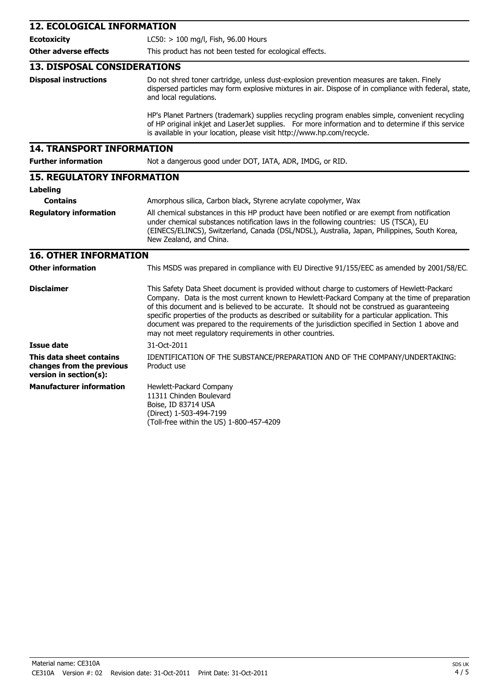| <b>12. ECOLOGICAL INFORMATION</b>                                               |                                                                                                                                                                                                                                                                                                                                                                                                                                                                                                                                                                |  |  |
|---------------------------------------------------------------------------------|----------------------------------------------------------------------------------------------------------------------------------------------------------------------------------------------------------------------------------------------------------------------------------------------------------------------------------------------------------------------------------------------------------------------------------------------------------------------------------------------------------------------------------------------------------------|--|--|
| <b>Ecotoxicity</b>                                                              | LC50: > 100 mg/l, Fish, 96.00 Hours                                                                                                                                                                                                                                                                                                                                                                                                                                                                                                                            |  |  |
| <b>Other adverse effects</b>                                                    | This product has not been tested for ecological effects.                                                                                                                                                                                                                                                                                                                                                                                                                                                                                                       |  |  |
| <b>13. DISPOSAL CONSIDERATIONS</b>                                              |                                                                                                                                                                                                                                                                                                                                                                                                                                                                                                                                                                |  |  |
| <b>Disposal instructions</b>                                                    | Do not shred toner cartridge, unless dust-explosion prevention measures are taken. Finely<br>dispersed particles may form explosive mixtures in air. Dispose of in compliance with federal, state,<br>and local regulations.                                                                                                                                                                                                                                                                                                                                   |  |  |
|                                                                                 | HP's Planet Partners (trademark) supplies recycling program enables simple, convenient recycling<br>of HP original inkjet and LaserJet supplies. For more information and to determine if this service<br>is available in your location, please visit http://www.hp.com/recycle.                                                                                                                                                                                                                                                                               |  |  |
| <b>14. TRANSPORT INFORMATION</b>                                                |                                                                                                                                                                                                                                                                                                                                                                                                                                                                                                                                                                |  |  |
| <b>Further information</b>                                                      | Not a dangerous good under DOT, IATA, ADR, IMDG, or RID.                                                                                                                                                                                                                                                                                                                                                                                                                                                                                                       |  |  |
| <b>15. REGULATORY INFORMATION</b>                                               |                                                                                                                                                                                                                                                                                                                                                                                                                                                                                                                                                                |  |  |
| Labeling                                                                        |                                                                                                                                                                                                                                                                                                                                                                                                                                                                                                                                                                |  |  |
| <b>Contains</b>                                                                 | Amorphous silica, Carbon black, Styrene acrylate copolymer, Wax                                                                                                                                                                                                                                                                                                                                                                                                                                                                                                |  |  |
| <b>Regulatory information</b>                                                   | All chemical substances in this HP product have been notified or are exempt from notification<br>under chemical substances notification laws in the following countries: US (TSCA), EU<br>(EINECS/ELINCS), Switzerland, Canada (DSL/NDSL), Australia, Japan, Philippines, South Korea,<br>New Zealand, and China.                                                                                                                                                                                                                                              |  |  |
| <b>16. OTHER INFORMATION</b>                                                    |                                                                                                                                                                                                                                                                                                                                                                                                                                                                                                                                                                |  |  |
| <b>Other information</b>                                                        | This MSDS was prepared in compliance with EU Directive 91/155/EEC as amended by 2001/58/EC.                                                                                                                                                                                                                                                                                                                                                                                                                                                                    |  |  |
| <b>Disclaimer</b>                                                               | This Safety Data Sheet document is provided without charge to customers of Hewlett-Packarc<br>Company. Data is the most current known to Hewlett-Packard Company at the time of preparation<br>of this document and is believed to be accurate. It should not be construed as guaranteeing<br>specific properties of the products as described or suitability for a particular application. This<br>document was prepared to the requirements of the jurisdiction specified in Section 1 above and<br>may not meet regulatory requirements in other countries. |  |  |
| <b>Issue date</b>                                                               | 31-Oct-2011                                                                                                                                                                                                                                                                                                                                                                                                                                                                                                                                                    |  |  |
| This data sheet contains<br>changes from the previous<br>version in section(s): | IDENTIFICATION OF THE SUBSTANCE/PREPARATION AND OF THE COMPANY/UNDERTAKING:<br>Product use                                                                                                                                                                                                                                                                                                                                                                                                                                                                     |  |  |
| <b>Manufacturer information</b>                                                 | Hewlett-Packard Company<br>11311 Chinden Boulevard<br>Boise, ID 83714 USA<br>(Direct) 1-503-494-7199<br>(Toll-free within the US) 1-800-457-4209                                                                                                                                                                                                                                                                                                                                                                                                               |  |  |